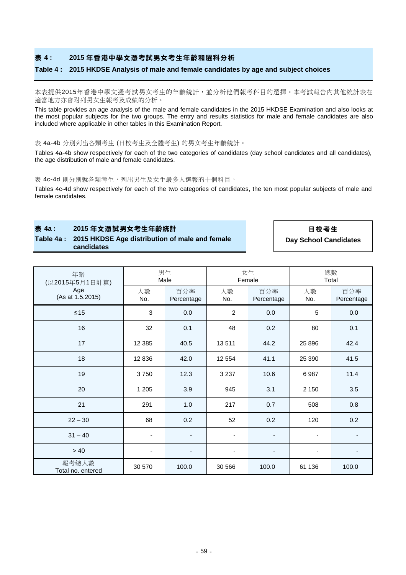## **表 4 : 2015 年香港中學文憑考試男女考生年齡和選科分析**

#### **Table 4 : 2015 HKDSE Analysis of male and female candidates by age and subject choices**

本表提供2015年香港中學文憑考試男女考生的年齡統計,並分析他們報考科目的選擇。本考試報告內其他統計表在 適當地方亦會附列男女生報考及成績的分析。

This table provides an age analysis of the male and female candidates in the 2015 HKDSE Examination and also looks at the most popular subjects for the two groups. The entry and results statistics for male and female candidates are also included where applicable in other tables in this Examination Report.

#### 表 4a-4b 分別列出各類考生 (日校考生及全體考生) 的男女考生年齡統計。

Tables 4a-4b show respectively for each of the two categories of candidates (day school candidates and all candidates), the age distribution of male and female candidates.

#### 表 4c-4d 則分別就各類考生,列出男生及女生最多人選報的十個科目。

Tables 4c-4d show respectively for each of the two categories of candidates, the ten most popular subjects of male and female candidates.

### **表 4a : 2015 年文憑試男女考生年齡統計 日校考生**

**Table 4a : 2015 HKDSE Age distribution of male and female candidates**

**Day School Candidates**

| 年齡<br>(以2015年5月1日計算)<br>Age<br>(As at 1.5.2015) | 男生<br>Male |                          | 女生<br>Female   |                          | 總數<br>Total |                   |
|-------------------------------------------------|------------|--------------------------|----------------|--------------------------|-------------|-------------------|
|                                                 | 人數<br>No.  | 百分率<br>Percentage        | 人數<br>No.      | 百分率<br>Percentage        | 人數<br>No.   | 百分率<br>Percentage |
| $\leq 15$                                       | 3          | 0.0                      | $\overline{2}$ | 0.0                      | 5           | 0.0               |
| 16                                              | 32         | 0.1                      | 48             | 0.2                      | 80          | 0.1               |
| 17                                              | 12 3 8 5   | 40.5                     | 13511          | 44.2                     | 25 8 96     | 42.4              |
| 18                                              | 12836      | 42.0                     | 12 5 54        | 41.1                     | 25 390      | 41.5              |
| 19                                              | 3750       | 12.3                     | 3 2 3 7        | 10.6                     | 6987        | 11.4              |
| 20                                              | 1 2 0 5    | 3.9                      | 945            | 3.1                      | 2 150       | 3.5               |
| 21                                              | 291        | 1.0                      | 217            | 0.7                      | 508         | 0.8               |
| $22 - 30$                                       | 68         | 0.2                      | 52             | 0.2                      | 120         | 0.2               |
| $31 - 40$                                       | ٠          | ٠                        | -              | $\overline{\phantom{a}}$ | ٠           |                   |
| >40                                             |            | $\overline{\phantom{a}}$ |                | $\overline{\phantom{a}}$ | ٠           | -                 |
| 報考總人數<br>Total no. entered                      | 30 570     | 100.0                    | 30 566         | 100.0                    | 61 136      | 100.0             |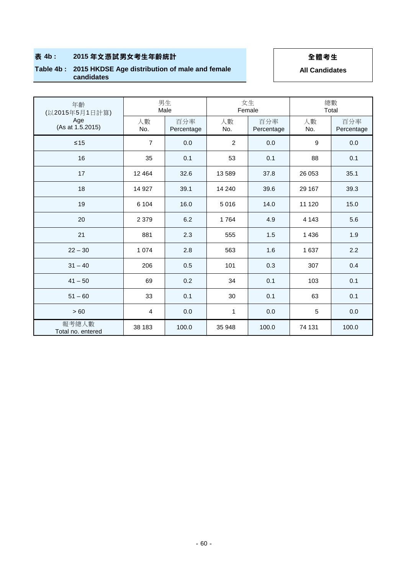# **表 4b : 2015 年文憑試男女考生年齡統計 全體考生**

### **Table 4b : 2015 HKDSE Age distribution of male and female candidates**

**All Candidates**

| 年齡<br>(以2015年5月1日計算)       | 男生<br>Male     |                   | 女生<br>Female   |                   | 總數<br>Total |                   |
|----------------------------|----------------|-------------------|----------------|-------------------|-------------|-------------------|
| Age<br>(As at 1.5.2015)    | 人數<br>No.      | 百分率<br>Percentage | 人數<br>No.      | 百分率<br>Percentage | 人數<br>No.   | 百分率<br>Percentage |
| $\leq 15$                  | $\overline{7}$ | 0.0               | $\overline{2}$ | 0.0               | 9           | 0.0               |
| 16                         | 35             | 0.1               | 53             | 0.1               | 88          | 0.1               |
| 17                         | 12 4 64        | 32.6              | 13 589         | 37.8              | 26 053      | 35.1              |
| 18                         | 14 9 27        | 39.1              | 14 240         | 39.6              | 29 167      | 39.3              |
| 19                         | 6 104          | 16.0              | 5016           | 14.0              | 11 120      | 15.0              |
| 20                         | 2 3 7 9        | 6.2               | 1764           | 4.9               | 4 1 4 3     | 5.6               |
| 21                         | 881            | 2.3               | 555            | 1.5               | 1436        | 1.9               |
| $22 - 30$                  | 1 0 7 4        | 2.8               | 563            | 1.6               | 1 6 3 7     | 2.2               |
| $31 - 40$                  | 206            | 0.5               | 101            | 0.3               | 307         | 0.4               |
| $41 - 50$                  | 69             | 0.2               | 34             | 0.1               | 103         | 0.1               |
| $51 - 60$                  | 33             | 0.1               | 30             | 0.1               | 63          | 0.1               |
| > 60                       | $\overline{4}$ | 0.0               | $\mathbf{1}$   | 0.0               | 5           | 0.0               |
| 報考總人數<br>Total no. entered | 38 183         | 100.0             | 35 948         | 100.0             | 74 131      | 100.0             |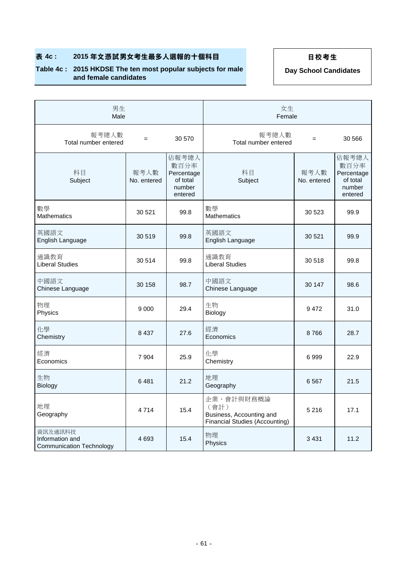# **表 4c : 2015 年文憑試男女考生最多人選報的十個科目 日校考生**

## **Table 4c : 2015 HKDSE The ten most popular subjects for male and female candidates**

**Day School Candidates**

| 男生<br>Male                                                    |                     |                                                              | 女生<br>Female                                                                     |                     |                                                              |  |
|---------------------------------------------------------------|---------------------|--------------------------------------------------------------|----------------------------------------------------------------------------------|---------------------|--------------------------------------------------------------|--|
| 報考總人數<br>Total number entered                                 | $=$                 | 30 570                                                       | 報考總人數<br>Total number entered                                                    | $\qquad \qquad =$   | 30 566                                                       |  |
| 科目<br>Subject                                                 | 報考人數<br>No. entered | 佔報考總人<br>數百分率<br>Percentage<br>of total<br>number<br>entered | 科目<br>Subject                                                                    | 報考人數<br>No. entered | 佔報考總人<br>數百分率<br>Percentage<br>of total<br>number<br>entered |  |
| 數學<br><b>Mathematics</b>                                      | 30 5 21             | 99.8                                                         | 數學<br><b>Mathematics</b>                                                         | 30 523              | 99.9                                                         |  |
| 英國語文<br>English Language                                      | 30 519              | 99.8                                                         | 英國語文<br>English Language                                                         | 30 521              | 99.9                                                         |  |
| 通識教育<br><b>Liberal Studies</b>                                | 30 514              | 99.8                                                         | 通識教育<br><b>Liberal Studies</b>                                                   | 30 518              | 99.8                                                         |  |
| 中國語文<br>Chinese Language                                      | 30 158              | 98.7                                                         | 中國語文<br>Chinese Language                                                         | 30 147              | 98.6                                                         |  |
| 物理<br>Physics                                                 | 9 0 0 0             | 29.4                                                         | 生物<br>Biology                                                                    | 9472                | 31.0                                                         |  |
| 化學<br>Chemistry                                               | 8 4 3 7             | 27.6                                                         | 經濟<br>Economics                                                                  | 8766                | 28.7                                                         |  |
| 經濟<br>Economics                                               | 7 9 0 4             | 25.9                                                         | 化學<br>Chemistry                                                                  | 6999                | 22.9                                                         |  |
| 生物<br>Biology                                                 | 6481                | 21.2                                                         | 地理<br>Geography                                                                  | 6567                | 21.5                                                         |  |
| 地理<br>Geography                                               | 4 7 1 4             | 15.4                                                         | 企業、會計與財務概論<br>(會計)<br>Business, Accounting and<br>Financial Studies (Accounting) | 5 2 1 6             | 17.1                                                         |  |
| 資訊及通訊科技<br>Information and<br><b>Communication Technology</b> | 4 6 9 3             | 15.4                                                         | 物理<br>Physics                                                                    | 3 4 3 1             | 11.2                                                         |  |